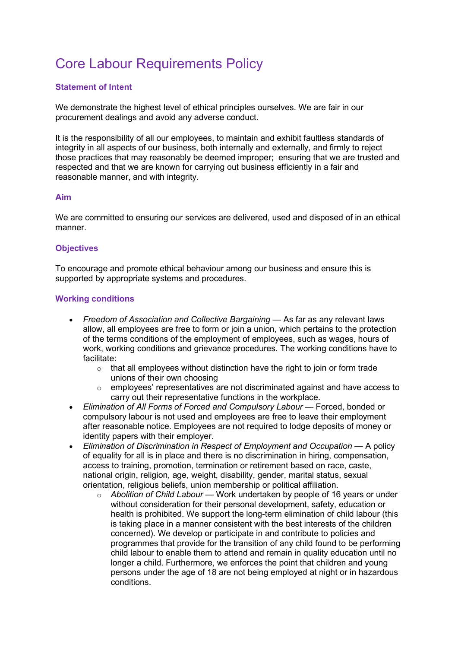# Core Labour Requirements Policy

# Statement of Intent

We demonstrate the highest level of ethical principles ourselves. We are fair in our procurement dealings and avoid any adverse conduct.

It is the responsibility of all our employees, to maintain and exhibit faultless standards of integrity in all aspects of our business, both internally and externally, and firmly to reject those practices that may reasonably be deemed improper; ensuring that we are trusted and respected and that we are known for carrying out business efficiently in a fair and reasonable manner, and with integrity.

#### Aim

We are committed to ensuring our services are delivered, used and disposed of in an ethical manner.

## **Objectives**

To encourage and promote ethical behaviour among our business and ensure this is supported by appropriate systems and procedures.

## Working conditions

- Freedom of Association and Collective Bargaining As far as any relevant laws allow, all employees are free to form or join a union, which pertains to the protection of the terms conditions of the employment of employees, such as wages, hours of work, working conditions and grievance procedures. The working conditions have to facilitate:
	- $\circ$  that all employees without distinction have the right to join or form trade unions of their own choosing
	- $\circ$  employees' representatives are not discriminated against and have access to carry out their representative functions in the workplace.
- Elimination of All Forms of Forced and Compulsory Labour Forced, bonded or compulsory labour is not used and employees are free to leave their employment after reasonable notice. Employees are not required to lodge deposits of money or identity papers with their employer.
- Elimination of Discrimination in Respect of Employment and Occupation A policy of equality for all is in place and there is no discrimination in hiring, compensation, access to training, promotion, termination or retirement based on race, caste, national origin, religion, age, weight, disability, gender, marital status, sexual orientation, religious beliefs, union membership or political affiliation.
	- $\circ$  Abolition of Child Labour Work undertaken by people of 16 years or under without consideration for their personal development, safety, education or health is prohibited. We support the long-term elimination of child labour (this is taking place in a manner consistent with the best interests of the children concerned). We develop or participate in and contribute to policies and programmes that provide for the transition of any child found to be performing child labour to enable them to attend and remain in quality education until no longer a child. Furthermore, we enforces the point that children and young persons under the age of 18 are not being employed at night or in hazardous conditions.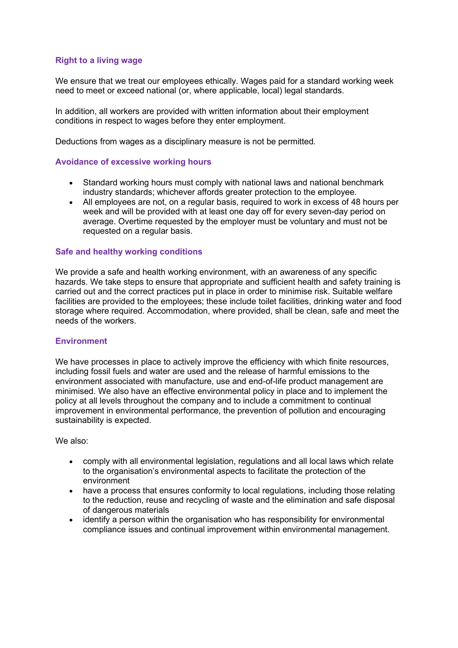## Right to a living wage

We ensure that we treat our employees ethically. Wages paid for a standard working week need to meet or exceed national (or, where applicable, local) legal standards.

In addition, all workers are provided with written information about their employment conditions in respect to wages before they enter employment.

Deductions from wages as a disciplinary measure is not be permitted.

## Avoidance of excessive working hours

- Standard working hours must comply with national laws and national benchmark industry standards; whichever affords greater protection to the employee.
- All employees are not, on a regular basis, required to work in excess of 48 hours per week and will be provided with at least one day off for every seven-day period on average. Overtime requested by the employer must be voluntary and must not be requested on a regular basis.

#### Safe and healthy working conditions

We provide a safe and health working environment, with an awareness of any specific hazards. We take steps to ensure that appropriate and sufficient health and safety training is carried out and the correct practices put in place in order to minimise risk. Suitable welfare facilities are provided to the employees; these include toilet facilities, drinking water and food storage where required. Accommodation, where provided, shall be clean, safe and meet the needs of the workers.

#### **Environment**

We have processes in place to actively improve the efficiency with which finite resources, including fossil fuels and water are used and the release of harmful emissions to the environment associated with manufacture, use and end-of-life product management are minimised. We also have an effective environmental policy in place and to implement the policy at all levels throughout the company and to include a commitment to continual improvement in environmental performance, the prevention of pollution and encouraging sustainability is expected.

#### We also:

- comply with all environmental legislation, regulations and all local laws which relate to the organisation's environmental aspects to facilitate the protection of the environment
- have a process that ensures conformity to local regulations, including those relating to the reduction, reuse and recycling of waste and the elimination and safe disposal of dangerous materials
- identify a person within the organisation who has responsibility for environmental compliance issues and continual improvement within environmental management.